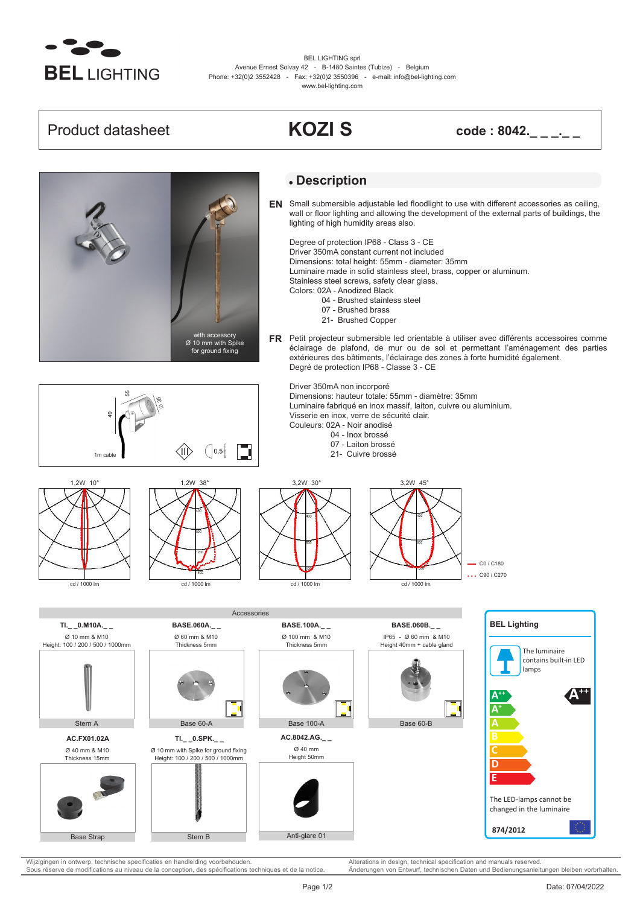

BEL LIGHTING sprl Avenue Ernest Solvay 42 - B-1480 Saintes (Tubize) - Belgium Phone: +32(0)2 3552428 - Fax: +32(0)2 3550396 - e-mail: info@bel-lighting.com www.bel-lighting.com

**Product datasheet <b>KOZI S code : 8042.**\_\_\_\_\_



**A++**